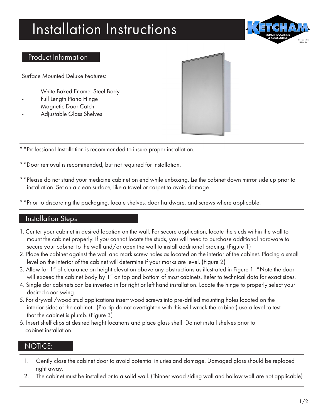## Installation Instructions



## Product Information

Surface Mounted Deluxe Features:

- White Baked Enamel Steel Body
- Full Length Piano Hinge
- Magnetic Door Catch
- Adjustable Glass Shelves



\*\*Professional Installation is recommended to insure proper installation.

- \*\*Door removal is recommended, but not required for installation.
- \*\*Please do not stand your medicine cabinet on end while unboxing. Lie the cabinet down mirror side up prior to installation. Set on a clean surface, like a towel or carpet to avoid damage.
- \*Prior to discarding the packaging, locate shelves, door hardware, and screws where applicable.

## Installation Steps

- 1. Center your cabinet in desired location on the wall. For secure application, locate the studs within the wall to mount the cabinet properly. If you cannot locate the studs, you will need to purchase additional hardware to secure your cabinet to the wall and/or open the wall to install additional bracing. (Figure 1)
- 2. Place the cabinet against the wall and mark screw holes as located on the interior of the cabinet. Placing a small level on the interior of the cabinet will determine if your marks are level. (Figure 2)
- 3. Allow for 1" of clearance on height elevation above any obstructions as illustrated in Figure 1. \*Note the door will exceed the cabinet body by 1" on top and bottom of most cabinets. Refer to technical data for exact sizes.
- 4. Single dor cabinets can be inverted in for right or left hand installation. Locate the hinge to properly select your desired door swing.
- 5. For drywall/wood stud applications insert wood screws into pre-drilled mounting holes located on the interior sides of the cabinet. (Pro-tip do not overtighten with this will wrack the cabinet) use a level to test that the cabinet is plumb. (Figure 3)
- 6. Insert shelf clips at desired height locations and place glass shelf. Do not install shelves prior to cabinet installation.

## NOTICE:

- 1. Gently close the cabinet door to avoid potential injuries and damage. Damaged glass should be replaced right away.
- 2. The cabinet must be installed onto a solid wall. (Thinner wood siding wall and hollow wall are not applicable)